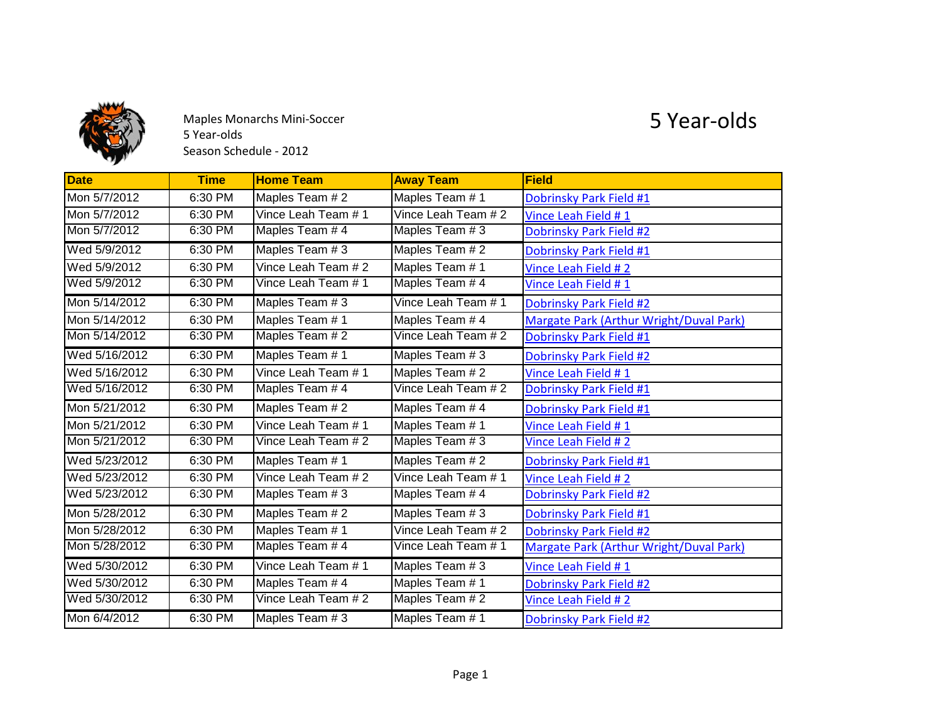

Maples Monarchs Mini-Soccer 5 Year-olds Season Schedule - 2012

## 5 Year-olds

| <b>Date</b>   | <b>Time</b> | <b>Home Team</b>    | <b>Away Team</b>    | <b>Field</b>                            |
|---------------|-------------|---------------------|---------------------|-----------------------------------------|
| Mon 5/7/2012  | 6:30 PM     | Maples Team # 2     | Maples Team # 1     | Dobrinsky Park Field #1                 |
| Mon 5/7/2012  | 6:30 PM     | Vince Leah Team # 1 | Vince Leah Team # 2 | Vince Leah Field #1                     |
| Mon 5/7/2012  | 6:30 PM     | Maples Team #4      | Maples Team # 3     | Dobrinsky Park Field #2                 |
| Wed 5/9/2012  | 6:30 PM     | Maples Team # 3     | Maples Team # 2     | Dobrinsky Park Field #1                 |
| Wed 5/9/2012  | 6:30 PM     | Vince Leah Team # 2 | Maples Team # 1     | Vince Leah Field # 2                    |
| Wed 5/9/2012  | 6:30 PM     | Vince Leah Team # 1 | Maples Team #4      | Vince Leah Field # 1                    |
| Mon 5/14/2012 | 6:30 PM     | Maples Team # 3     | Vince Leah Team # 1 | Dobrinsky Park Field #2                 |
| Mon 5/14/2012 | 6:30 PM     | Maples Team # 1     | Maples Team #4      | Margate Park (Arthur Wright/Duval Park) |
| Mon 5/14/2012 | 6:30 PM     | Maples Team # 2     | Vince Leah Team # 2 | Dobrinsky Park Field #1                 |
| Wed 5/16/2012 | 6:30 PM     | Maples Team # 1     | Maples Team # 3     | Dobrinsky Park Field #2                 |
| Wed 5/16/2012 | 6:30 PM     | Vince Leah Team # 1 | Maples Team # 2     | Vince Leah Field #1                     |
| Wed 5/16/2012 | 6:30 PM     | Maples Team # 4     | Vince Leah Team # 2 | Dobrinsky Park Field #1                 |
| Mon 5/21/2012 | 6:30 PM     | Maples Team # 2     | Maples Team # 4     | Dobrinsky Park Field #1                 |
| Mon 5/21/2012 | 6:30 PM     | Vince Leah Team # 1 | Maples Team # 1     | Vince Leah Field #1                     |
| Mon 5/21/2012 | 6:30 PM     | Vince Leah Team #2  | Maples Team # 3     | Vince Leah Field # 2                    |
| Wed 5/23/2012 | 6:30 PM     | Maples Team # 1     | Maples Team # 2     | Dobrinsky Park Field #1                 |
| Wed 5/23/2012 | 6:30 PM     | Vince Leah Team # 2 | Vince Leah Team # 1 | Vince Leah Field # 2                    |
| Wed 5/23/2012 | 6:30 PM     | Maples Team # 3     | Maples Team # 4     | Dobrinsky Park Field #2                 |
| Mon 5/28/2012 | 6:30 PM     | Maples Team # 2     | Maples Team # 3     | Dobrinsky Park Field #1                 |
| Mon 5/28/2012 | 6:30 PM     | Maples Team # 1     | Vince Leah Team # 2 | Dobrinsky Park Field #2                 |
| Mon 5/28/2012 | 6:30 PM     | Maples Team # 4     | Vince Leah Team # 1 | Margate Park (Arthur Wright/Duval Park) |
| Wed 5/30/2012 | 6:30 PM     | Vince Leah Team # 1 | Maples Team # 3     | Vince Leah Field #1                     |
| Wed 5/30/2012 | 6:30 PM     | Maples Team # 4     | Maples Team #1      | Dobrinsky Park Field #2                 |
| Wed 5/30/2012 | 6:30 PM     | Vince Leah Team # 2 | Maples Team # 2     | Vince Leah Field # 2                    |
| Mon 6/4/2012  | 6:30 PM     | Maples Team # 3     | Maples Team #1      | Dobrinsky Park Field #2                 |